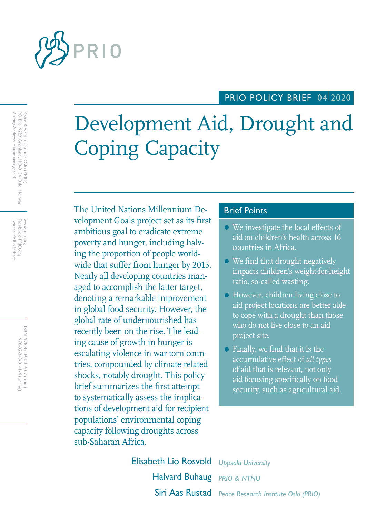

# PRIO POLICY BRIEF 0412020

# Development Aid, Drought and Coping Capacity

The United Nations Millennium De- Brief Points velopment Goals project set as its first ambitious goal to eradicate extreme poverty and hunger, including halving the proportion of people worldwide that suffer from hunger by 2015. Nearly all developing countries managed to accomplish the latter target, denoting a remarkable improvement in global food security. However, the global rate of undernourished has recently been on the rise. The leading cause of growth in hunger is escalating violence in war-torn countries, compounded by climate-related shocks, notably drought. This policy brief summarizes the first attempt to systematically assess the implications of development aid for recipient populations' environmental coping capacity following droughts across sub-Saharan Africa.

- We investigate the local effects of aid on children's health across 16 countries in Africa.
- We find that drought negatively impacts children's weight-for-height ratio, so-called wasting.
- However, children living close to aid project locations are better able to cope with a drought than those who do not live close to an aid project site.
- Finally, we find that it is the accumulative effect of *all types* of aid that is relevant, not only aid focusing specifically on food security, such as agricultural aid.

Elisabeth Lio Rosvold *Uppsala University* Siri Aas Rustad *Peace Research Institute Oslo (PRIO)* Halvard Buhaug *PRIO & NTNU*

Peace Research Institute Oslo (PRIO)<br>PO Box 9229 Grønland, NO-0134 Oslo, Norway<br>Visiting Address: Hausmanns gate 3 Visiting Address: Hausmanns gate 3 PO Box 9229 Grønland, NO-0134 Oslo, Norway Peace Research Institute Oslo (PRIO)

Twitter: PRIOUpdates Facebook: PRIO.org Twitter: PRIOUpdates Facebook: PRIO.org www.prio.org www.prio.org

> ISBN: 978-82-343-0140-7 (print) 978-82-343-0141-4 (online) 978-82-343-0141-4 (online) 978-82-343-0140-7 (print)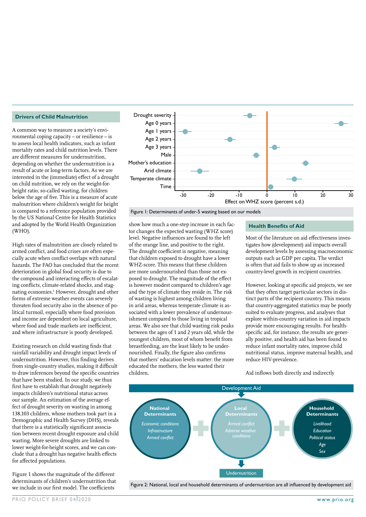#### **Drivers of Child Malnutrition**

A common way to measure a society's environmental coping capacity – or resilience – is to assess local health indicators, such as infant mortality rates and child nutrition levels. There are different measures for undernutrition, depending on whether the undernutrition is a result of acute or long-term factors. As we are interested in the (immediate) effect of a drought on child nutrition, we rely on the weight-forheight ratio, so-called wasting, for children below the age of five. This is a measure of acute malnutrition where children's weight for height is compared to a reference population provided by the US National Centre for Health Statistics and adopted by the World Health Organization (WHO).

High rates of malnutrition are closely related to armed conflict, and food crises are often especially acute when conflict overlaps with natural hazards. The FAO has concluded that the recent deterioration in global food security is due to the compound and interacting effects of escalating conflicts, climate-related shocks, and stagnating economies.<sup>1</sup> However, drought and other forms of extreme weather events can severely threaten food security also in the absence of political turmoil, especially where food provision and income are dependent on local agriculture, where food and trade markets are inefficient, and where infrastructure is poorly developed.

Existing research on child wasting finds that rainfall variability and drought impact levels of undernutrition. However, this finding derives from single-country studies, making it difficult to draw inferences beyond the specific countries that have been studied. In our study, we thus first have to establish that drought negatively impacts children's nutritional status across our sample. An estimation of the average effect of drought severity on wasting in among 138,103 children, whose mothers took part in a Demographic and Health Survey (DHS), reveals that there is a statistically significant association between recent drought exposure and child wasting. More severe droughts are linked to lower weight-for-height scores, and we can conclude that a drought has negative health effects for affected populations.

Figure 1 shows the magnitude of the different determinants of children's undernutrition that we include in our first model. The coefficients



Figure 1: Determinants of under-5 wasting based on our models

show how much a one-step increase in each factor changes the expected wasting (WHZ score) level. Negative influences are found to the left of the orange line, and positive to the right. The drought coefficient is negative, meaning that children exposed to drought have a lower WHZ-score. This means that these children are more undernourished than those not exposed to drought. The magnitude of the effect is however modest compared to children's age and the type of climate they reside in. The risk of wasting is highest among children living in arid areas, whereas temperate climate is associated with a lower prevalence of undernourishment compared to those living in tropical areas. We also see that child wasting risk peaks between the ages of 1 and 2 years old, while the youngest children, most of whom benefit from breastfeeding, are the least likely to be undernourished. Finally, the figure also confirms that mothers' education levels matter: the more educated the mothers, the less wasted their children.

#### **Health Benefits of Aid**

Most of the literature on aid effectiveness investigates how (development) aid impacts overall development levels by assessing macroeconomic outputs such as GDP per capita. The verdict is often that aid fails to show up as increased country-level growth in recipient countries.

However, looking at specific aid projects, we see that they often target particular sectors in distinct parts of the recipient country. This means that country-aggregated statistics may be poorly suited to evaluate progress, and analyses that explore within-country variation in aid impacts provide more encouraging results. For healthspecific aid, for instance, the results are generally positive, and health aid has been found to reduce infant mortality rates, improve child nutritional status, improve maternal health, and reduce HIV-prevalence.

Aid inflows both directly and indirectly



Figure 2: National, local and household determinants of undernutrition are all influenced by development aid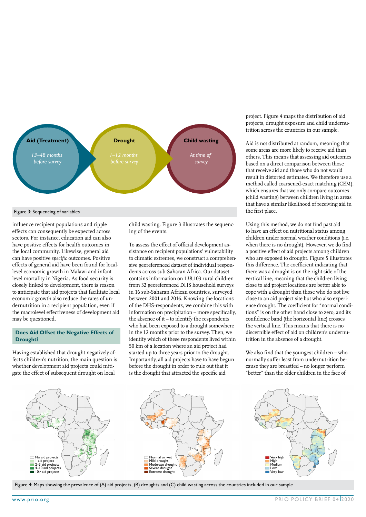

#### Figure 3: Sequencing of variables

influence recipient populations and ripple effects can consequently be expected across sectors. For instance, education aid can also have positive effects for health outcomes in the local community. Likewise, general aid can have positive *specific* outcomes. Positive effects of general aid have been found for locallevel economic growth in Malawi and infant level mortality in Nigeria. As food security is closely linked to development, there is reason to anticipate that aid projects that facilitate local economic growth also reduce the rates of undernutrition in a recipient population, even if the macrolevel effectiveness of development aid may be questioned.

#### **Does Aid Offset the Negative Effects of Drought?**

Having established that drought negatively affects children's nutrition, the main question is whether development aid projects could mitigate the effect of subsequent drought on local



child wasting. Figure 3 illustrates the sequencing of the events.

To assess the effect of official development assistance on recipient populations' vulnerability to climatic extremes, we construct a comprehensive georeferenced dataset of individual respondents across sub-Saharan Africa. Our dataset contains information on 138,103 rural children from 32 georeferenced DHS household surveys in 16 sub-Saharan African countries, surveyed between 2001 and 2016. Knowing the locations of the DHS-respondents, we combine this with information on precipitation – more specifically, the absence of  $it - to$  identify the respondents who had been exposed to a drought somewhere in the 12 months prior to the survey. Then, we identify which of these respondents lived within 50 km of a location where an aid project had started up to three years prior to the drought. Importantly, all aid projects have to have begun before the drought in order to rule out that it is the drought that attracted the specific aid

> Mild drought Moderate drought Severe drought Extreme drought

project. Figure 4 maps the distribution of aid projects, drought exposure and child undernutrition across the countries in our sample.

Aid is not distributed at random, meaning that some areas are more likely to receive aid than others. This means that assessing aid outcomes based on a direct comparison between those that receive aid and those who do not would result in distorted estimates. We therefore use a method called coarsened-exact matching (CEM), which ensures that we only compare outcomes (child wasting) between children living in areas that have a similar likelihood of receiving aid in the first place.

Using this method, we do not find past aid to have an effect on nutritional status among children under normal weather conditions (i.e. when there is no drought). However, we do find a positive effect of aid projects among children who are exposed to drought. Figure 5 illustrates this difference. The coefficient indicating that there was a drought is on the right side of the vertical line, meaning that the children living close to aid project locations are better able to cope with a drought than those who do not live close to an aid project site but who also experience drought. The coefficient for "normal conditions" is on the other hand close to zero, and its confidence band (the horizontal line) crosses the vertical line. This means that there is no discernible effect of aid on children's undernutrition in the absence of a drought.

We also find that the youngest children – who normally suffer least from undernutrition because they are breastfed – no longer perform "better" than the older children in the face of



Figure 4: Maps showing the prevalence of (A) aid projects, (B) droughts and (C) child wasting across the countries included in our sample